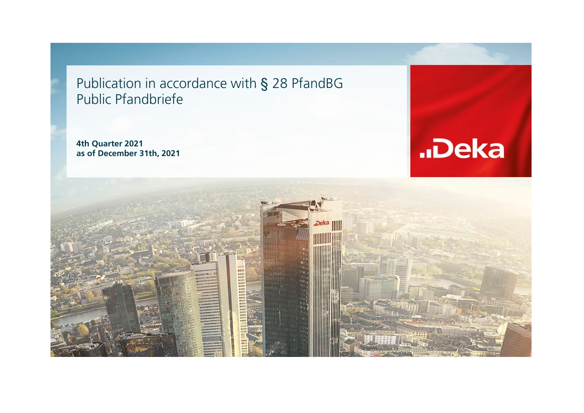Publication in accordance with § 28 PfandBG Public Pfandbriefe

**4th Quarter 2021 as of December 31th, 2021**



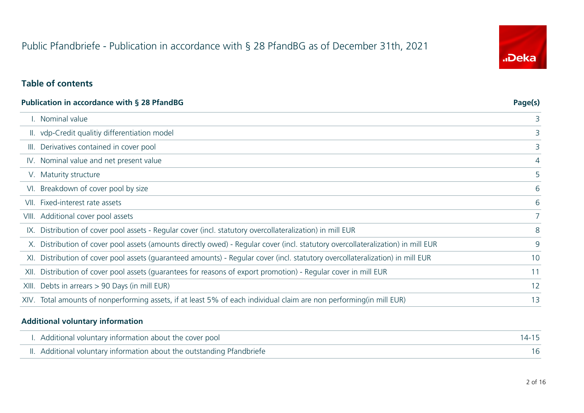# Public Pfandbriefe - Publication in accordance with § 28 PfandBG as of December 31th, 2021

## **Table of contents**

| Publication in accordance with § 28 PfandBG |                                                                                                                                  |    |  |  |  |
|---------------------------------------------|----------------------------------------------------------------------------------------------------------------------------------|----|--|--|--|
|                                             | I. Nominal value                                                                                                                 | 3  |  |  |  |
|                                             | II. vdp-Credit qualitiy differentiation model                                                                                    | 3  |  |  |  |
|                                             | III. Derivatives contained in cover pool                                                                                         | 3  |  |  |  |
|                                             | IV. Nominal value and net present value                                                                                          | 4  |  |  |  |
|                                             | V. Maturity structure                                                                                                            | 5  |  |  |  |
|                                             | VI. Breakdown of cover pool by size                                                                                              | 6  |  |  |  |
|                                             | VII. Fixed-interest rate assets                                                                                                  | 6  |  |  |  |
|                                             | VIII. Additional cover pool assets                                                                                               |    |  |  |  |
|                                             | IX. Distribution of cover pool assets - Regular cover (incl. statutory overcollateralization) in mill EUR                        | 8  |  |  |  |
|                                             | X. Distribution of cover pool assets (amounts directly owed) - Regular cover (incl. statutory overcollateralization) in mill EUR | 9  |  |  |  |
|                                             | XI. Distribution of cover pool assets (guaranteed amounts) - Regular cover (incl. statutory overcollateralization) in mill EUR   | 10 |  |  |  |
|                                             | XII. Distribution of cover pool assets (quarantees for reasons of export promotion) - Regular cover in mill EUR                  | 11 |  |  |  |
|                                             | XIII. Debts in arrears > 90 Days (in mill EUR)                                                                                   | 12 |  |  |  |
|                                             | XIV. Total amounts of nonperforming assets, if at least 5% of each individual claim are non performing(in mill EUR)              | 13 |  |  |  |
|                                             |                                                                                                                                  |    |  |  |  |

#### **Additional voluntary information**

| I. Additional voluntary information about the cover pool               | 14-15 |
|------------------------------------------------------------------------|-------|
| II. Additional voluntary information about the outstanding Pfandbriefe |       |

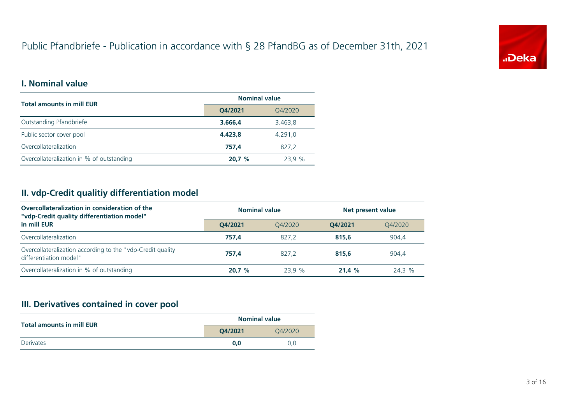# Public Pfandbriefe - Publication in accordance with § 28 PfandBG as of December 31th, 2021



#### **I. Nominal value**

| <b>Total amounts in mill EUR</b>          | <b>Nominal value</b> |         |  |
|-------------------------------------------|----------------------|---------|--|
|                                           | Q4/2021              | Q4/2020 |  |
| Outstanding Pfandbriefe                   | 3.666,4              | 3.463,8 |  |
| Public sector cover pool                  | 4.423.8              | 4.291.0 |  |
| Overcollateralization                     | 757.4                | 827,2   |  |
| Overcollateralization in % of outstanding | 20.7%                | 23.9 %  |  |

## **II. vdp-Credit qualitiy differentiation model**

| Overcollateralization in consideration of the<br>"vdp-Credit quality differentiation model" | <b>Nominal value</b> |         | Net present value |         |
|---------------------------------------------------------------------------------------------|----------------------|---------|-------------------|---------|
| in mill EUR                                                                                 | O4/2021              | 04/2020 | O4/2021           | 04/2020 |
| Overcollateralization                                                                       | 757.4                | 827.2   | 815.6             | 904.4   |
| Overcollateralization according to the "vdp-Credit quality<br>differentiation model"        | 757.4                | 827.2   | 815.6             | 904.4   |
| Overcollateralization in % of outstanding                                                   | 20.7%                | 23.9%   | 21.4%             | 24.3 %  |

## **III. Derivatives contained in cover pool**

| <b>Total amounts in mill EUR</b> | <b>Nominal value</b> |         |  |
|----------------------------------|----------------------|---------|--|
|                                  | 04/2021              | O4/2020 |  |
| <b>Derivates</b>                 | 0.0                  | 0.0     |  |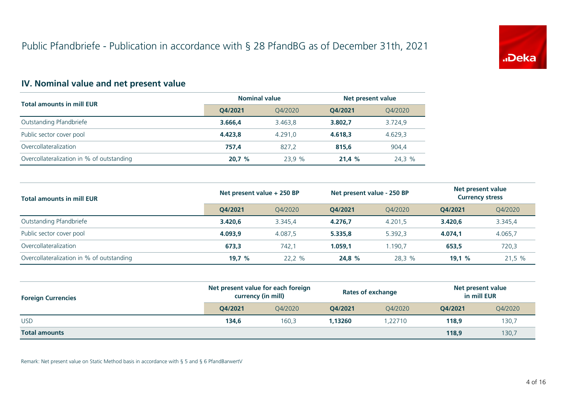

## **IV. Nominal value and net present value**

| <b>Total amounts in mill EUR</b>          | <b>Nominal value</b> |         | Net present value |         |
|-------------------------------------------|----------------------|---------|-------------------|---------|
|                                           | O4/2021              | 04/2020 | O4/2021           | Q4/2020 |
| Outstanding Pfandbriefe                   | 3.666.4              | 3.463.8 | 3.802.7           | 3.724,9 |
| Public sector cover pool                  | 4.423.8              | 4.291.0 | 4.618.3           | 4.629.3 |
| Overcollateralization                     | 757.4                | 827.2   | 815,6             | 904.4   |
| Overcollateralization in % of outstanding | 20.7%                | 23.9 %  | 21.4%             | 24,3 %  |

| <b>Total amounts in mill EUR</b>          | Net present value + 250 BP |         | Net present value - 250 BP |         | Net present value<br><b>Currency stress</b> |         |
|-------------------------------------------|----------------------------|---------|----------------------------|---------|---------------------------------------------|---------|
|                                           | O4/2021                    | 04/2020 | O4/2021                    | 04/2020 | O4/2021                                     | Q4/2020 |
| Outstanding Pfandbriefe                   | 3.420.6                    | 3.345.4 | 4.276.7                    | 4.201.5 | 3.420,6                                     | 3.345,4 |
| Public sector cover pool                  | 4.093.9                    | 4.087.5 | 5.335.8                    | 5.392.3 | 4.074.1                                     | 4.065,7 |
| Overcollateralization                     | 673.3                      | 742.1   | 1.059.1                    | 1.190.7 | 653,5                                       | 720,3   |
| Overcollateralization in % of outstanding | 19.7%                      | 22,2 %  | 24,8 %                     | 28,3 %  | 19.1%                                       | 21.5%   |

| <b>Foreign Currencies</b> | Net present value for each foreign<br>currency (in mill) |         | <b>Rates of exchange</b> |         | Net present value<br>in mill EUR |         |
|---------------------------|----------------------------------------------------------|---------|--------------------------|---------|----------------------------------|---------|
|                           | O4/2021                                                  | 04/2020 | O4/2021                  | 04/2020 | O4/2021                          | Q4/2020 |
| <b>USD</b>                | 134,6                                                    | 160,3   | 1.13260                  | 1,22710 | 118,9                            | 130,7   |
| <b>Total amounts</b>      |                                                          |         |                          |         | 118,9                            | 130,7   |

Remark: Net present value on Static Method basis in accordance with § 5 and § 6 PfandBarwertV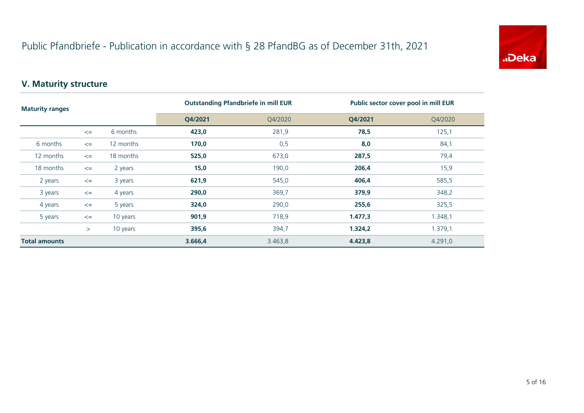

## **V. Maturity structure**

| <b>Maturity ranges</b> |        |           | <b>Outstanding Pfandbriefe in mill EUR</b> |         | Public sector cover pool in mill EUR |         |  |
|------------------------|--------|-----------|--------------------------------------------|---------|--------------------------------------|---------|--|
|                        |        |           | Q4/2021                                    | Q4/2020 | Q4/2021                              | Q4/2020 |  |
|                        | $\leq$ | 6 months  | 423,0                                      | 281,9   | 78,5                                 | 125,1   |  |
| 6 months               | $\leq$ | 12 months | 170,0                                      | 0,5     | 8,0                                  | 84,1    |  |
| 12 months              | $\leq$ | 18 months | 525,0                                      | 673,0   | 287,5                                | 79,4    |  |
| 18 months              | $\leq$ | 2 years   | 15,0                                       | 190,0   | 206,4                                | 15,9    |  |
| 2 years                | $\leq$ | 3 years   | 621,9                                      | 545,0   | 406,4                                | 585,5   |  |
| 3 years                | $\leq$ | 4 years   | 290,0                                      | 369,7   | 379,9                                | 348,2   |  |
| 4 years                | $\leq$ | 5 years   | 324,0                                      | 290,0   | 255,6                                | 325,5   |  |
| 5 years                | $\leq$ | 10 years  | 901,9                                      | 718,9   | 1.477,3                              | 1.348,1 |  |
|                        | >      | 10 years  | 395,6                                      | 394,7   | 1.324,2                              | 1.379,1 |  |
| <b>Total amounts</b>   |        | 3.666,4   | 3.463,8                                    | 4.423,8 | 4.291.0                              |         |  |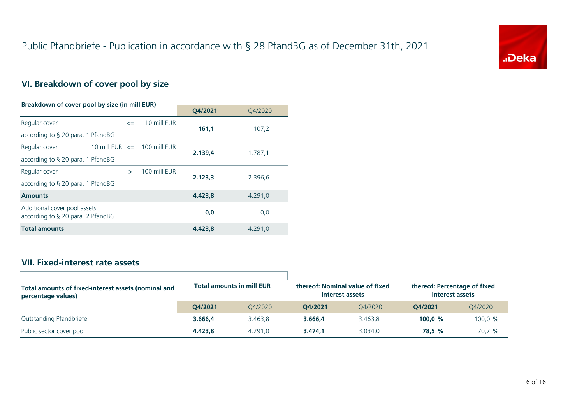

## **VI. Breakdown of cover pool by size**

| Breakdown of cover pool by size (in mill EUR)                        |                                 |               |              |         |         |
|----------------------------------------------------------------------|---------------------------------|---------------|--------------|---------|---------|
|                                                                      |                                 |               |              | Q4/2021 | 04/2020 |
| Regular cover                                                        |                                 | $\leq$        | 10 mill EUR  |         |         |
| according to $\S$ 20 para. 1 PfandBG                                 |                                 |               |              | 161,1   | 107,2   |
| Regular cover                                                        | 10 mill EUR $\leq$ 100 mill EUR |               |              |         |         |
| according to $\S$ 20 para. 1 PfandBG                                 |                                 | 2.139,4       | 1.787,1      |         |         |
| Regular cover                                                        |                                 | $\rightarrow$ | 100 mill EUR |         |         |
| according to $\S$ 20 para. 1 PfandBG                                 |                                 |               |              | 2.123,3 | 2.396,6 |
| <b>Amounts</b>                                                       |                                 |               |              | 4.423,8 | 4.291,0 |
| Additional cover pool assets<br>according to $\S$ 20 para. 2 PfandBG |                                 |               |              | 0,0     | 0,0     |
| <b>Total amounts</b>                                                 |                                 |               |              | 4.423.8 | 4.291.0 |

#### **VII. Fixed-interest rate assets**

| Total amounts of fixed-interest assets (nominal and<br>percentage values) | <b>Total amounts in mill EUR</b> |         | thereof: Nominal value of fixed<br>interest assets |         | thereof: Percentage of fixed<br>interest assets |         |
|---------------------------------------------------------------------------|----------------------------------|---------|----------------------------------------------------|---------|-------------------------------------------------|---------|
|                                                                           | 04/2021                          | 04/2020 | 04/2021                                            | 04/2020 | O4/2021                                         | 04/2020 |
| Outstanding Pfandbriefe                                                   | 3.666,4                          | 3.463.8 | 3.666.4                                            | 3.463.8 | 100.0 $%$                                       | 100,0 % |
| Public sector cover pool                                                  | 4.423.8                          | 4.291.0 | 3.474.1                                            | 3.034.0 | 78.5 %                                          | 70,7 %  |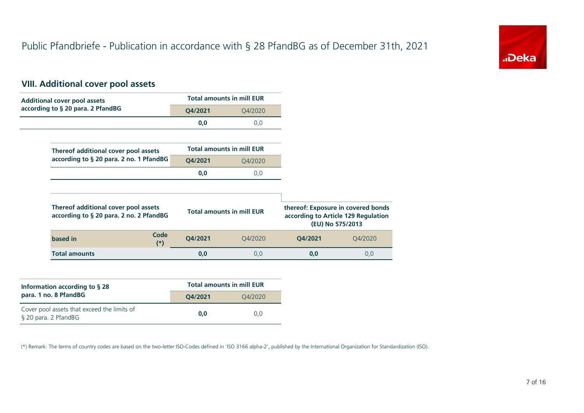

## **VIII. Additional cover pool assets**

| <b>Additional cover pool assets</b>                                             |         | <b>Total amounts in mill EUR</b> |         |                                                                                               |
|---------------------------------------------------------------------------------|---------|----------------------------------|---------|-----------------------------------------------------------------------------------------------|
| according to § 20 para. 2 PfandBG                                               | Q4/2021 | Q4/2020                          |         |                                                                                               |
|                                                                                 | 0,0     | 0,0                              |         |                                                                                               |
|                                                                                 |         |                                  |         |                                                                                               |
| Thereof additional cover pool assets                                            |         | <b>Total amounts in mill EUR</b> |         |                                                                                               |
| according to § 20 para. 2 no. 1 PfandBG                                         | Q4/2021 | Q4/2020                          |         |                                                                                               |
|                                                                                 | 0,0     | 0,0                              |         |                                                                                               |
|                                                                                 |         |                                  |         |                                                                                               |
| Thereof additional cover pool assets<br>according to § 20 para. 2 no. 2 PfandBG |         | <b>Total amounts in mill EUR</b> |         | thereof: Exposure in covered bonds<br>according to Article 129 Regulation<br>(EU) No 575/2013 |
| Code<br>based in<br>$(*)$                                                       | Q4/2021 | Q4/2020                          | Q4/2021 | Q4/2020                                                                                       |
| <b>Total amounts</b>                                                            | 0,0     | 0,0                              | 0,0     | 0,0                                                                                           |

| Information according to $\S$ 28                                    | <b>Total amounts in mill EUR</b> |         |  |  |
|---------------------------------------------------------------------|----------------------------------|---------|--|--|
| para. 1 no. 8 PfandBG                                               | O4/2021                          | 04/2020 |  |  |
| Cover pool assets that exceed the limits of<br>§ 20 para. 2 PfandBG | 0.0                              | 0.0     |  |  |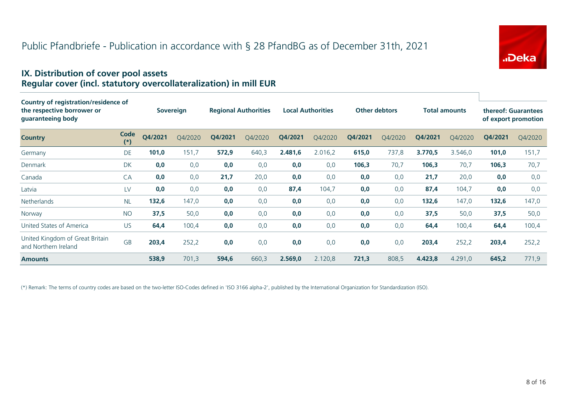

#### **IX. Distribution of cover pool assets Regular cover (incl. statutory overcollateralization) in mill EUR**

| Country of registration/residence of<br>the respective borrower or<br>guaranteeing body |               |         | <b>Sovereign</b> |         | <b>Local Authorities</b><br><b>Other debtors</b><br><b>Total amounts</b><br><b>Regional Authorities</b> |         |         |         |         | thereof: Guarantees<br>of export promotion |         |         |         |
|-----------------------------------------------------------------------------------------|---------------|---------|------------------|---------|---------------------------------------------------------------------------------------------------------|---------|---------|---------|---------|--------------------------------------------|---------|---------|---------|
| <b>Country</b>                                                                          | Code<br>$(*)$ | Q4/2021 | O4/2020          | Q4/2021 | Q4/2020                                                                                                 | Q4/2021 | Q4/2020 | Q4/2021 | Q4/2020 | Q4/2021                                    | Q4/2020 | Q4/2021 | Q4/2020 |
| Germany                                                                                 | DE            | 101,0   | 151,7            | 572,9   | 640,3                                                                                                   | 2.481,6 | 2.016,2 | 615,0   | 737,8   | 3.770,5                                    | 3.546,0 | 101,0   | 151,7   |
| Denmark                                                                                 | DK            | 0,0     | 0,0              | 0,0     | 0,0                                                                                                     | 0,0     | 0,0     | 106,3   | 70,7    | 106,3                                      | 70,7    | 106,3   | 70,7    |
| Canada                                                                                  | CA            | 0,0     | 0,0              | 21,7    | 20,0                                                                                                    | 0,0     | 0,0     | 0,0     | 0,0     | 21,7                                       | 20,0    | 0,0     | 0,0     |
| Latvia                                                                                  | LV            | 0,0     | 0,0              | 0,0     | 0,0                                                                                                     | 87,4    | 104,7   | 0,0     | 0,0     | 87,4                                       | 104,7   | 0,0     | 0,0     |
| <b>Netherlands</b>                                                                      | <b>NL</b>     | 132,6   | 147,0            | 0,0     | 0,0                                                                                                     | 0,0     | 0,0     | 0,0     | 0,0     | 132,6                                      | 147,0   | 132,6   | 147,0   |
| Norway                                                                                  | <b>NO</b>     | 37,5    | 50,0             | 0,0     | 0,0                                                                                                     | 0,0     | 0,0     | 0,0     | 0,0     | 37,5                                       | 50,0    | 37,5    | 50,0    |
| United States of America                                                                | <b>US</b>     | 64,4    | 100,4            | 0,0     | 0,0                                                                                                     | 0,0     | 0,0     | 0,0     | 0,0     | 64,4                                       | 100,4   | 64,4    | 100,4   |
| United Kingdom of Great Britain<br>and Northern Ireland                                 | <b>GB</b>     | 203,4   | 252,2            | 0,0     | 0,0                                                                                                     | 0,0     | 0,0     | 0,0     | 0,0     | 203,4                                      | 252,2   | 203,4   | 252,2   |
| <b>Amounts</b>                                                                          |               | 538,9   | 701,3            | 594,6   | 660,3                                                                                                   | 2.569,0 | 2.120,8 | 721,3   | 808,5   | 4.423,8                                    | 4.291,0 | 645,2   | 771,9   |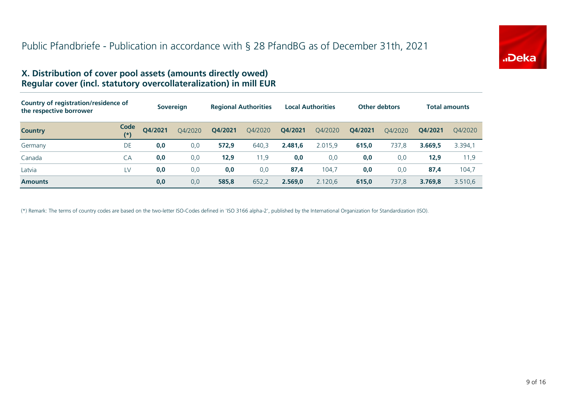

#### **X. Distribution of cover pool assets (amounts directly owed) Regular cover (incl. statutory overcollateralization) in mill EUR**

| Country of registration/residence of<br>the respective borrower |               |         | <b>Sovereign</b> | <b>Regional Authorities</b> |         | <b>Local Authorities</b> |         | <b>Other debtors</b> |         | Total amounts |         |
|-----------------------------------------------------------------|---------------|---------|------------------|-----------------------------|---------|--------------------------|---------|----------------------|---------|---------------|---------|
| <b>Country</b>                                                  | Code<br>$(*)$ | O4/2021 | Q4/2020          | Q4/2021                     | Q4/2020 | Q4/2021                  | Q4/2020 | Q4/2021              | O4/2020 | O4/2021       | O4/2020 |
| Germany                                                         | DE            | 0,0     | 0,0              | 572,9                       | 640,3   | 2.481.6                  | 2.015,9 | 615,0                | 737,8   | 3.669.5       | 3.394,1 |
| Canada                                                          | CA            | 0,0     | 0,0              | 12,9                        | 11,9    | 0,0                      | 0,0     | 0,0                  | 0,0     | 12,9          | 11,9    |
| Latvia                                                          | LV            | 0,0     | 0,0              | 0,0                         | 0,0     | 87,4                     | 104.7   | 0,0                  | 0,0     | 87,4          | 104.7   |
| <b>Amounts</b>                                                  |               | 0,0     | 0,0              | 585,8                       | 652,2   | 2.569,0                  | 2.120.6 | 615,0                | 737,8   | 3.769.8       | 3.510.6 |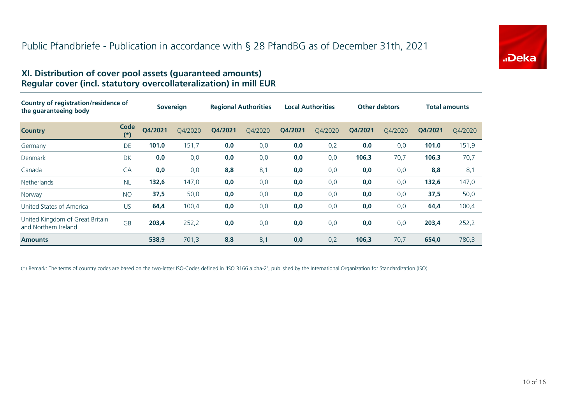

#### **XI. Distribution of cover pool assets (guaranteed amounts) Regular cover (incl. statutory overcollateralization) in mill EUR**

| Country of registration/residence of<br>the guaranteeing body |               | <b>Sovereign</b> |         | <b>Regional Authorities</b> |         | <b>Local Authorities</b> |         | <b>Other debtors</b> |         | <b>Total amounts</b> |         |
|---------------------------------------------------------------|---------------|------------------|---------|-----------------------------|---------|--------------------------|---------|----------------------|---------|----------------------|---------|
| <b>Country</b>                                                | Code<br>$(*)$ | Q4/2021          | O4/2020 | O4/2021                     | O4/2020 | O4/2021                  | O4/2020 | O4/2021              | O4/2020 | O4/2021              | Q4/2020 |
| Germany                                                       | DE            | 101,0            | 151,7   | 0,0                         | 0,0     | 0,0                      | 0,2     | 0,0                  | 0,0     | 101,0                | 151,9   |
| Denmark                                                       | DK            | 0,0              | 0,0     | 0,0                         | 0,0     | 0,0                      | 0,0     | 106,3                | 70,7    | 106,3                | 70,7    |
| Canada                                                        | CA            | 0,0              | 0,0     | 8,8                         | 8,1     | 0,0                      | 0,0     | 0,0                  | 0,0     | 8,8                  | 8,1     |
| <b>Netherlands</b>                                            | <b>NL</b>     | 132,6            | 147,0   | 0,0                         | 0,0     | 0,0                      | 0,0     | 0,0                  | 0,0     | 132,6                | 147,0   |
| Norway                                                        | <b>NO</b>     | 37,5             | 50,0    | 0,0                         | 0,0     | 0,0                      | 0,0     | 0,0                  | 0,0     | 37,5                 | 50,0    |
| United States of America                                      | <b>US</b>     | 64,4             | 100,4   | 0,0                         | 0,0     | 0,0                      | 0,0     | 0,0                  | 0,0     | 64,4                 | 100,4   |
| United Kingdom of Great Britain<br>and Northern Ireland       | GB            | 203,4            | 252,2   | 0,0                         | 0,0     | 0,0                      | 0,0     | 0,0                  | 0,0     | 203,4                | 252,2   |
| <b>Amounts</b>                                                |               | 538,9            | 701,3   | 8,8                         | 8,1     | 0,0                      | 0,2     | 106,3                | 70,7    | 654.0                | 780,3   |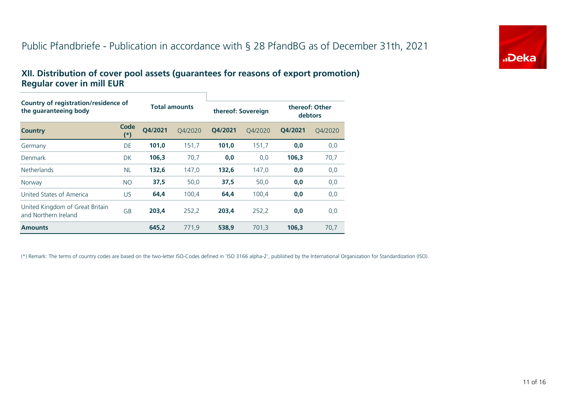## Public Pfandbriefe - Publication in accordance with § 28 PfandBG as of December 31th, 2021



#### **XII. Distribution of cover pool assets (guarantees for reasons of export promotion) Regular cover in mill EUR**

| Country of registration/residence of<br>the quaranteeing body |                  |         | <b>Total amounts</b> |         | thereof: Sovereign | thereof: Other<br>debtors |         |  |
|---------------------------------------------------------------|------------------|---------|----------------------|---------|--------------------|---------------------------|---------|--|
| <b>Country</b>                                                | Code<br>$^{(*)}$ | O4/2021 | O4/2020              | O4/2021 | 04/2020            | O4/2021                   | 04/2020 |  |
| Germany                                                       | DE               | 101,0   | 151,7                | 101,0   | 151,7              | 0,0                       | 0,0     |  |
| Denmark                                                       | DK               | 106,3   | 70,7                 | 0,0     | 0,0                | 106,3                     | 70,7    |  |
| <b>Netherlands</b>                                            | <b>NL</b>        | 132.6   | 147,0                | 132.6   | 147.0              | 0,0                       | 0,0     |  |
| Norway                                                        | <b>NO</b>        | 37,5    | 50,0                 | 37,5    | 50,0               | 0,0                       | 0,0     |  |
| United States of America                                      | <b>US</b>        | 64,4    | 100,4                | 64,4    | 100,4              | 0,0                       | 0,0     |  |
| United Kingdom of Great Britain<br>and Northern Ireland       | GB               | 203,4   | 252,2                | 203,4   | 252,2              | 0,0                       | 0,0     |  |
| <b>Amounts</b>                                                |                  | 645,2   | 771,9                | 538,9   | 701,3              | 106,3                     | 70,7    |  |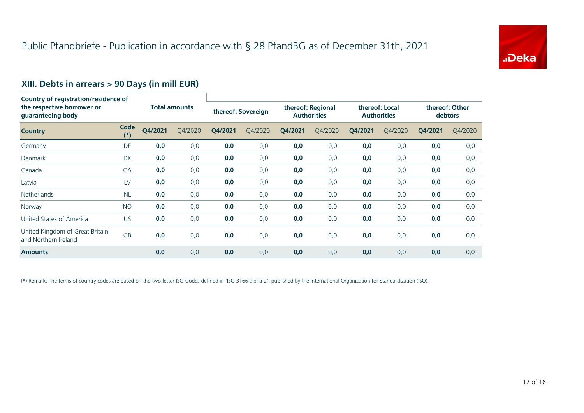

## **XIII. Debts in arrears > 90 Days (in mill EUR)**

| Country of registration/residence of<br>the respective borrower or<br>guaranteeing body |               |                      |         |                    |         |                                         |         |                                      |         |                                  |         |
|-----------------------------------------------------------------------------------------|---------------|----------------------|---------|--------------------|---------|-----------------------------------------|---------|--------------------------------------|---------|----------------------------------|---------|
|                                                                                         |               | <b>Total amounts</b> |         | thereof: Sovereign |         | thereof: Regional<br><b>Authorities</b> |         | thereof: Local<br><b>Authorities</b> |         | thereof: Other<br><b>debtors</b> |         |
| <b>Country</b>                                                                          | Code<br>$(*)$ | Q4/2021              | Q4/2020 | Q4/2021            | Q4/2020 | Q4/2021                                 | Q4/2020 | Q4/2021                              | Q4/2020 | Q4/2021                          | Q4/2020 |
| Germany                                                                                 | <b>DE</b>     | 0,0                  | 0,0     | 0,0                | 0,0     | 0,0                                     | 0,0     | 0,0                                  | 0,0     | 0,0                              | 0,0     |
| <b>Denmark</b>                                                                          | <b>DK</b>     | 0,0                  | 0,0     | 0,0                | 0,0     | 0,0                                     | 0,0     | 0,0                                  | 0,0     | 0,0                              | 0,0     |
| Canada                                                                                  | <b>CA</b>     | 0,0                  | 0,0     | 0,0                | 0,0     | 0,0                                     | 0,0     | 0,0                                  | 0,0     | 0,0                              | 0,0     |
| Latvia                                                                                  | LV            | 0,0                  | 0,0     | 0,0                | 0,0     | 0,0                                     | 0,0     | 0,0                                  | 0,0     | 0,0                              | 0,0     |
| <b>Netherlands</b>                                                                      | <b>NL</b>     | 0,0                  | 0,0     | 0,0                | 0,0     | 0,0                                     | 0,0     | 0,0                                  | 0,0     | 0,0                              | 0,0     |
| Norway                                                                                  | <b>NO</b>     | 0,0                  | 0,0     | 0,0                | 0,0     | 0,0                                     | 0,0     | 0,0                                  | 0,0     | 0,0                              | 0,0     |
| United States of America                                                                | US.           | 0,0                  | 0,0     | 0,0                | 0,0     | 0,0                                     | 0,0     | 0,0                                  | 0,0     | 0,0                              | 0,0     |
| United Kingdom of Great Britain<br>and Northern Ireland                                 | <b>GB</b>     | 0,0                  | 0,0     | 0,0                | 0,0     | 0,0                                     | 0,0     | 0,0                                  | 0,0     | 0,0                              | 0,0     |
| <b>Amounts</b>                                                                          |               | 0,0                  | 0,0     | 0,0                | 0,0     | 0,0                                     | 0,0     | 0,0                                  | 0,0     | 0,0                              | 0,0     |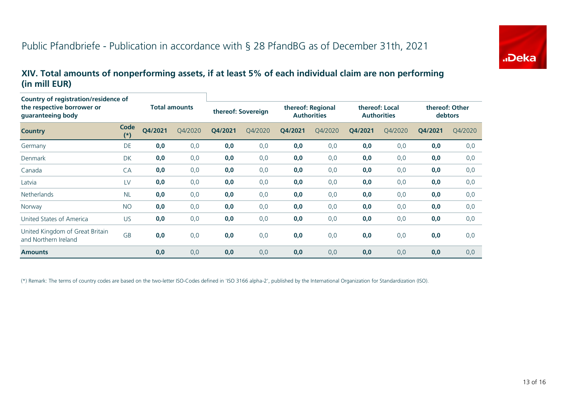

#### **XIV. Total amounts of nonperforming assets, if at least 5% of each individual claim are non performing (in mill EUR)**

| Country of registration/residence of<br>the respective borrower or<br>guaranteeing body |               | <b>Total amounts</b> |         | thereof: Sovereign |         | thereof: Regional<br><b>Authorities</b> |         | thereof: Local<br><b>Authorities</b> |         | thereof: Other<br>debtors |         |
|-----------------------------------------------------------------------------------------|---------------|----------------------|---------|--------------------|---------|-----------------------------------------|---------|--------------------------------------|---------|---------------------------|---------|
| <b>Country</b>                                                                          | Code<br>$(*)$ | Q4/2021              | Q4/2020 | Q4/2021            | Q4/2020 | Q4/2021                                 | Q4/2020 | Q4/2021                              | Q4/2020 | Q4/2021                   | Q4/2020 |
| Germany                                                                                 | DE            | 0,0                  | 0,0     | 0,0                | 0,0     | 0,0                                     | 0,0     | 0,0                                  | 0,0     | 0,0                       | 0,0     |
| <b>Denmark</b>                                                                          | <b>DK</b>     | 0,0                  | 0,0     | 0,0                | 0,0     | 0,0                                     | 0,0     | 0,0                                  | 0,0     | 0,0                       | 0,0     |
| Canada                                                                                  | CA            | 0,0                  | 0,0     | 0,0                | 0,0     | 0,0                                     | 0,0     | 0,0                                  | 0,0     | 0,0                       | 0,0     |
| Latvia                                                                                  | LV            | 0,0                  | 0,0     | 0,0                | 0,0     | 0,0                                     | 0,0     | 0,0                                  | 0,0     | 0,0                       | 0,0     |
| <b>Netherlands</b>                                                                      | <b>NL</b>     | 0,0                  | 0,0     | 0,0                | 0,0     | 0,0                                     | 0,0     | 0,0                                  | 0,0     | 0,0                       | 0,0     |
| Norway                                                                                  | <b>NO</b>     | 0,0                  | 0,0     | 0,0                | 0,0     | 0,0                                     | 0,0     | 0,0                                  | 0,0     | 0,0                       | 0,0     |
| United States of America                                                                | <b>US</b>     | 0,0                  | 0,0     | 0,0                | 0,0     | 0,0                                     | 0,0     | 0,0                                  | 0,0     | 0,0                       | 0,0     |
| United Kingdom of Great Britain<br>and Northern Ireland                                 | <b>GB</b>     | 0,0                  | 0,0     | 0,0                | 0,0     | 0,0                                     | 0,0     | 0,0                                  | 0,0     | 0,0                       | 0,0     |
| <b>Amounts</b>                                                                          |               | 0,0                  | 0,0     | 0,0                | 0,0     | 0,0                                     | 0,0     | 0,0                                  | 0,0     | 0,0                       | 0,0     |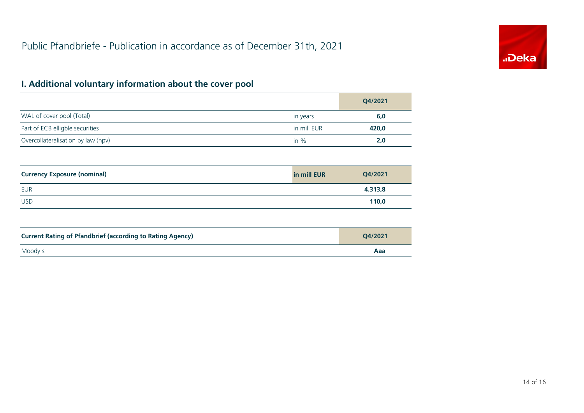

## **I. Additional voluntary information about the cover pool**

|                                    |             | Q4/2021 |
|------------------------------------|-------------|---------|
| WAL of cover pool (Total)          | in years    | 6,0     |
| Part of ECB elligble securities    | in mill EUR | 420,0   |
| Overcollateralisation by law (npv) | in $%$      | 2,0     |

| <b>Currency Exposure (nominal)</b> | in mill EUR | Q4/2021 |
|------------------------------------|-------------|---------|
| EUR                                |             | 4.313,8 |
| <b>USD</b>                         |             | 110,0   |

| <b>Current Rating of Pfandbrief (according to Rating Agency)</b> | O4/2021 |
|------------------------------------------------------------------|---------|
| Moody's                                                          | Aaa     |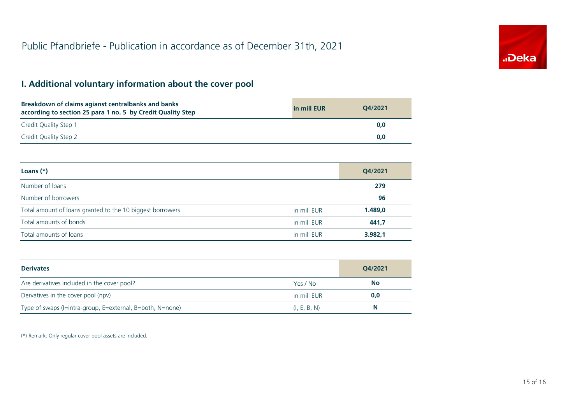

## **I. Additional voluntary information about the cover pool**

| Breakdown of claims agianst centralbanks and banks<br>according to section 25 para 1 no. 5 by Credit Quality Step | in mill EUR | O4/2021 |
|-------------------------------------------------------------------------------------------------------------------|-------------|---------|
| Credit Quality Step 1                                                                                             |             | 0,0     |
| Credit Quality Step 2                                                                                             |             | 0,0     |

| Loans $(*)$                                               |             | Q4/2021 |
|-----------------------------------------------------------|-------------|---------|
| Number of loans                                           |             | 279     |
| Number of borrowers                                       |             | 96      |
| Total amount of loans granted to the 10 biggest borrowers | in mill EUR | 1.489,0 |
| Total amounts of bonds                                    | in mill EUR | 441,7   |
| Total amounts of loans                                    | in mill EUR | 3.982,1 |

| <b>Derivates</b>                                          |              | O4/2021   |
|-----------------------------------------------------------|--------------|-----------|
| Are derivatives included in the cover pool?               | Yes / No     | <b>No</b> |
| Dervatives in the cover pool (npv)                        | in mill EUR  | 0,0       |
| Type of swaps (I=intra-group, E=external, B=both, N=none) | (I, E, B, N) | N         |

(\*) Remark: Only regular cover pool assets are included.